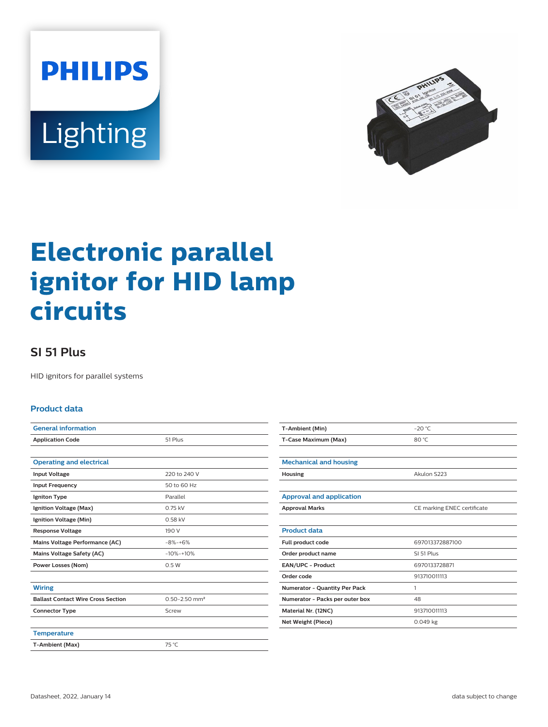



# **Electronic parallel ignitor for HID lamp circuits**

## **SI 51 Plus**

HID ignitors for parallel systems

#### **Product data**

| <b>General information</b>                |                               |  |  |
|-------------------------------------------|-------------------------------|--|--|
| <b>Application Code</b>                   | 51 Plus                       |  |  |
|                                           |                               |  |  |
| <b>Operating and electrical</b>           |                               |  |  |
| <b>Input Voltage</b>                      | 220 to 240 V                  |  |  |
| <b>Input Frequency</b>                    | 50 to 60 Hz                   |  |  |
| Igniton Type                              | Parallel                      |  |  |
| Ignition Voltage (Max)                    | 0.75 kV                       |  |  |
| Ignition Voltage (Min)                    | 0.58 kV                       |  |  |
| <b>Response Voltage</b>                   | 190 V                         |  |  |
| Mains Voltage Performance (AC)            | $-8% - +6%$                   |  |  |
| Mains Voltage Safety (AC)                 | $-10% -10%$                   |  |  |
| <b>Power Losses (Nom)</b>                 | 0.5W                          |  |  |
|                                           |                               |  |  |
| <b>Wiring</b>                             |                               |  |  |
| <b>Ballast Contact Wire Cross Section</b> | $0.50 - 2.50$ mm <sup>2</sup> |  |  |
| <b>Connector Type</b>                     | Screw                         |  |  |
|                                           |                               |  |  |
| <b>Temperature</b>                        |                               |  |  |
| T-Ambient (Max)                           | 75 °C                         |  |  |

| T-Ambient (Min)                      | $-20 °C$                    |  |  |
|--------------------------------------|-----------------------------|--|--|
| T-Case Maximum (Max)                 | 80 °C                       |  |  |
|                                      |                             |  |  |
| <b>Mechanical and housing</b>        |                             |  |  |
| Housing                              | Akulon S223                 |  |  |
|                                      |                             |  |  |
| <b>Approval and application</b>      |                             |  |  |
| <b>Approval Marks</b>                | CE marking ENEC certificate |  |  |
|                                      |                             |  |  |
| <b>Product data</b>                  |                             |  |  |
| Full product code                    | 697013372887100             |  |  |
| Order product name                   | SL51 Plus                   |  |  |
| <b>EAN/UPC - Product</b>             | 6970133728871               |  |  |
| Order code                           | 913710011113                |  |  |
| <b>Numerator - Quantity Per Pack</b> | 1                           |  |  |
| Numerator - Packs per outer box      | 48                          |  |  |
| Material Nr. (12NC)                  | 913710011113                |  |  |
| Net Weight (Piece)                   | $0.049$ kg                  |  |  |